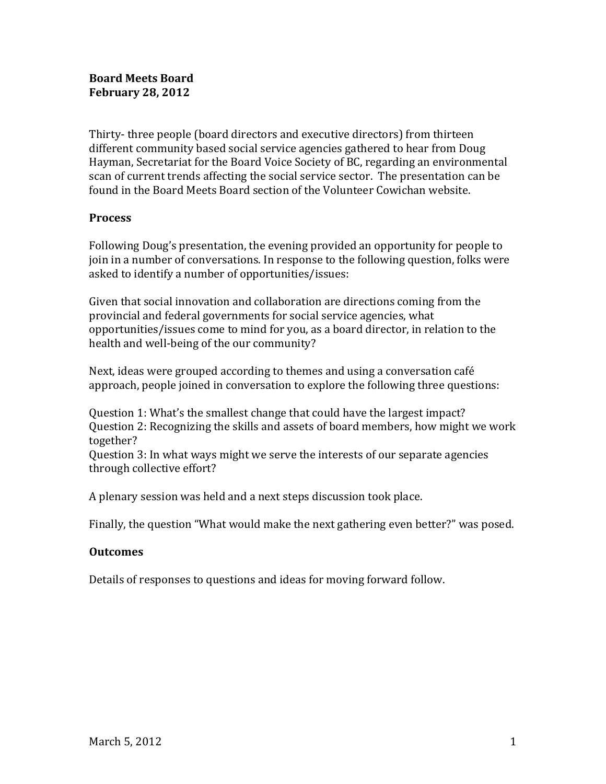#### **Board&Meets&Board February 28, 2012**

Thirty-three people (board directors and executive directors) from thirteen different community based social service agencies gathered to hear from Doug Hayman, Secretariat for the Board Voice Society of BC, regarding an environmental scan of current trends affecting the social service sector. The presentation can be found in the Board Meets Board section of the Volunteer Cowichan website.

#### **Process**

Following Doug's presentation, the evening provided an opportunity for people to join in a number of conversations. In response to the following question, folks were asked to identify a number of opportunities/issues:

Given that social innovation and collaboration are directions coming from the provincial and federal governments for social service agencies, what opportunities/issues come to mind for you, as a board director, in relation to the health and well-being of the our community?

Next, ideas were grouped according to themes and using a conversation café approach, people joined in conversation to explore the following three questions:

Question 1: What's the smallest change that could have the largest impact? Question 2: Recognizing the skills and assets of board members, how might we work together?

Question 3: In what ways might we serve the interests of our separate agencies through collective effort?

A plenary session was held and a next steps discussion took place.

Finally, the question "What would make the next gathering even better?" was posed.

#### **Outcomes**

Details of responses to questions and ideas for moving forward follow.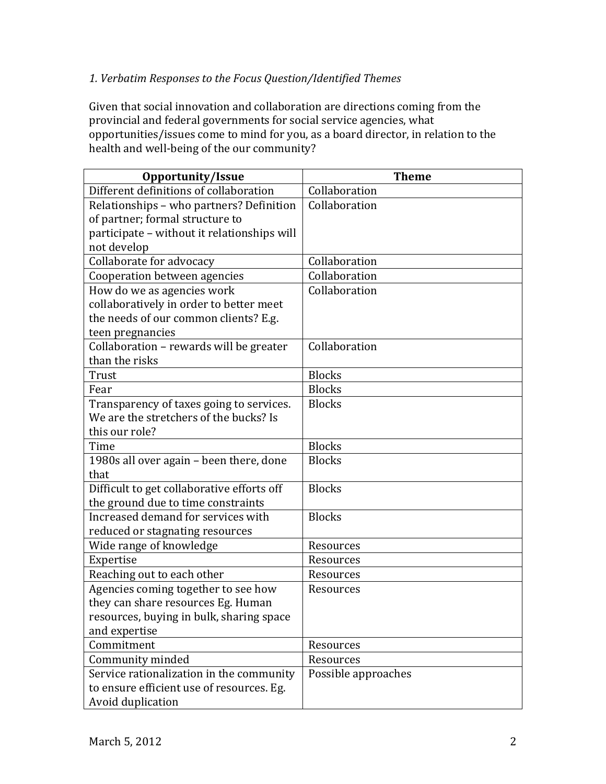## 1. Verbatim Responses to the Focus Question/Identified Themes

Given that social innovation and collaboration are directions coming from the provincial and federal governments for social service agencies, what opportunities/issues come to mind for you, as a board director, in relation to the health and well-being of the our community?

| Opportunity/Issue                           | <b>Theme</b>        |
|---------------------------------------------|---------------------|
| Different definitions of collaboration      | Collaboration       |
| Relationships - who partners? Definition    | Collaboration       |
| of partner; formal structure to             |                     |
| participate - without it relationships will |                     |
| not develop                                 |                     |
| Collaborate for advocacy                    | Collaboration       |
| Cooperation between agencies                | Collaboration       |
| How do we as agencies work                  | Collaboration       |
| collaboratively in order to better meet     |                     |
| the needs of our common clients? E.g.       |                     |
| teen pregnancies                            |                     |
| Collaboration - rewards will be greater     | Collaboration       |
| than the risks                              |                     |
| Trust                                       | <b>Blocks</b>       |
| Fear                                        | <b>Blocks</b>       |
| Transparency of taxes going to services.    | <b>Blocks</b>       |
| We are the stretchers of the bucks? Is      |                     |
| this our role?                              |                     |
| Time                                        | <b>Blocks</b>       |
| 1980s all over again - been there, done     | <b>Blocks</b>       |
| that                                        |                     |
| Difficult to get collaborative efforts off  | <b>Blocks</b>       |
| the ground due to time constraints          |                     |
| Increased demand for services with          | <b>Blocks</b>       |
| reduced or stagnating resources             |                     |
| Wide range of knowledge                     | Resources           |
| Expertise                                   | Resources           |
| Reaching out to each other                  | Resources           |
| Agencies coming together to see how         | Resources           |
| they can share resources Eg. Human          |                     |
| resources, buying in bulk, sharing space    |                     |
| and expertise                               |                     |
| Commitment                                  | Resources           |
| Community minded                            | Resources           |
| Service rationalization in the community    | Possible approaches |
| to ensure efficient use of resources. Eg.   |                     |
| Avoid duplication                           |                     |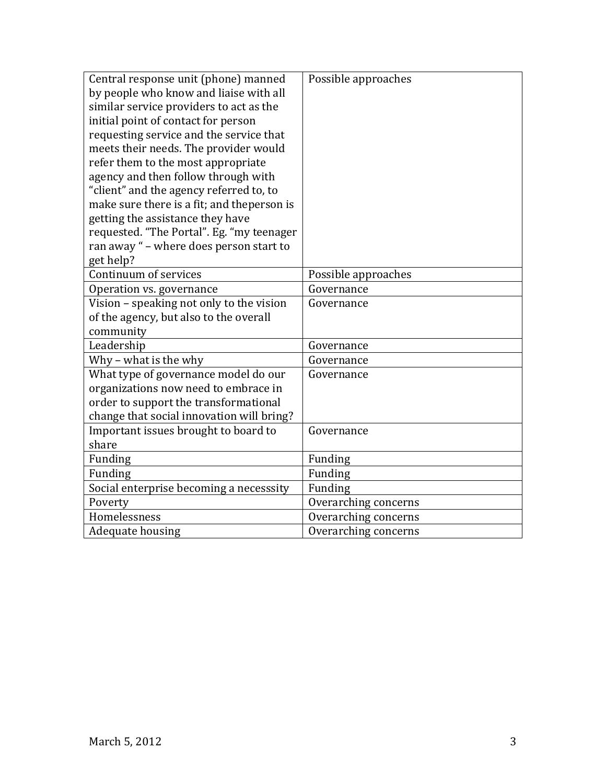| Central response unit (phone) manned<br>by people who know and liaise with all<br>similar service providers to act as the<br>initial point of contact for person<br>requesting service and the service that<br>meets their needs. The provider would<br>refer them to the most appropriate<br>agency and then follow through with<br>"client" and the agency referred to, to | Possible approaches  |
|------------------------------------------------------------------------------------------------------------------------------------------------------------------------------------------------------------------------------------------------------------------------------------------------------------------------------------------------------------------------------|----------------------|
| make sure there is a fit; and theperson is<br>getting the assistance they have                                                                                                                                                                                                                                                                                               |                      |
| requested. "The Portal". Eg. "my teenager                                                                                                                                                                                                                                                                                                                                    |                      |
| ran away " - where does person start to                                                                                                                                                                                                                                                                                                                                      |                      |
| get help?                                                                                                                                                                                                                                                                                                                                                                    |                      |
| Continuum of services                                                                                                                                                                                                                                                                                                                                                        | Possible approaches  |
| Operation vs. governance                                                                                                                                                                                                                                                                                                                                                     | Governance           |
| Vision - speaking not only to the vision                                                                                                                                                                                                                                                                                                                                     | Governance           |
| of the agency, but also to the overall                                                                                                                                                                                                                                                                                                                                       |                      |
| community                                                                                                                                                                                                                                                                                                                                                                    |                      |
| Leadership                                                                                                                                                                                                                                                                                                                                                                   | Governance           |
| Why - what is the why                                                                                                                                                                                                                                                                                                                                                        | Governance           |
| What type of governance model do our                                                                                                                                                                                                                                                                                                                                         | Governance           |
| organizations now need to embrace in                                                                                                                                                                                                                                                                                                                                         |                      |
| order to support the transformational                                                                                                                                                                                                                                                                                                                                        |                      |
| change that social innovation will bring?                                                                                                                                                                                                                                                                                                                                    |                      |
| Important issues brought to board to                                                                                                                                                                                                                                                                                                                                         | Governance           |
| share                                                                                                                                                                                                                                                                                                                                                                        |                      |
| Funding                                                                                                                                                                                                                                                                                                                                                                      | Funding              |
| Funding                                                                                                                                                                                                                                                                                                                                                                      | Funding              |
| Social enterprise becoming a necesssity                                                                                                                                                                                                                                                                                                                                      | Funding              |
| Poverty                                                                                                                                                                                                                                                                                                                                                                      | Overarching concerns |
| Homelessness                                                                                                                                                                                                                                                                                                                                                                 | Overarching concerns |
| Adequate housing                                                                                                                                                                                                                                                                                                                                                             | Overarching concerns |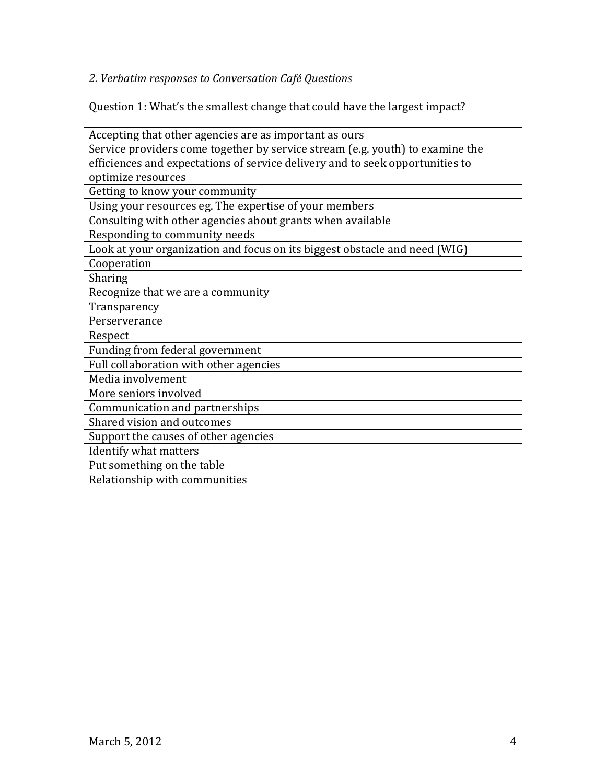# 2. Verbatim responses to Conversation Café Questions

Question 1: What's the smallest change that could have the largest impact?

| Accepting that other agencies are as important as ours                        |
|-------------------------------------------------------------------------------|
| Service providers come together by service stream (e.g. youth) to examine the |
| efficiences and expectations of service delivery and to seek opportunities to |
| optimize resources                                                            |
| Getting to know your community                                                |
| Using your resources eg. The expertise of your members                        |
| Consulting with other agencies about grants when available                    |
| Responding to community needs                                                 |
| Look at your organization and focus on its biggest obstacle and need (WIG)    |
| Cooperation                                                                   |
| <b>Sharing</b>                                                                |
| Recognize that we are a community                                             |
| Transparency                                                                  |
| Perserverance                                                                 |
| Respect                                                                       |
| Funding from federal government                                               |
| Full collaboration with other agencies                                        |
| Media involvement                                                             |
| More seniors involved                                                         |
| Communication and partnerships                                                |
| Shared vision and outcomes                                                    |
| Support the causes of other agencies                                          |
| Identify what matters                                                         |
| Put something on the table                                                    |
| Relationship with communities                                                 |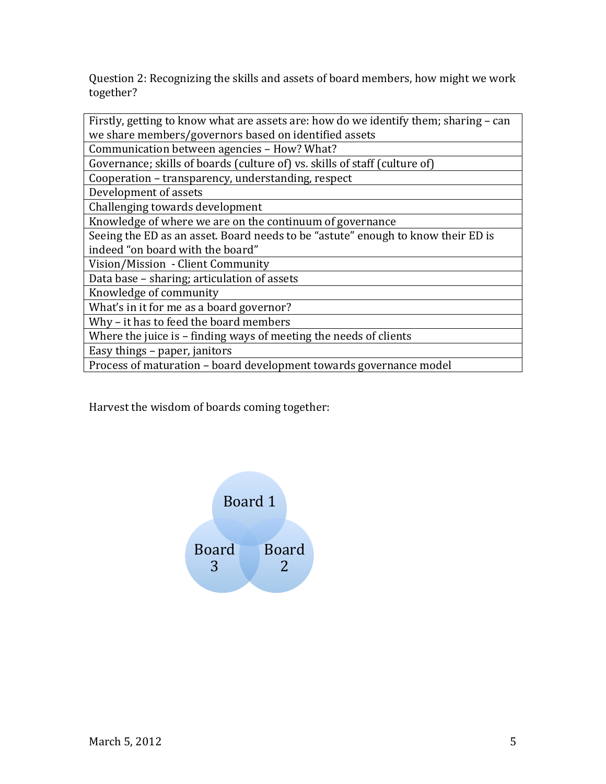Question 2: Recognizing the skills and assets of board members, how might we work together?

| Firstly, getting to know what are assets are: how do we identify them; sharing - can |
|--------------------------------------------------------------------------------------|
| we share members/governors based on identified assets                                |
| Communication between agencies - How? What?                                          |
| Governance; skills of boards (culture of) vs. skills of staff (culture of)           |
| Cooperation - transparency, understanding, respect                                   |
| Development of assets                                                                |
| Challenging towards development                                                      |
| Knowledge of where we are on the continuum of governance                             |
| Seeing the ED as an asset. Board needs to be "astute" enough to know their ED is     |
| indeed "on board with the board"                                                     |
| Vision/Mission - Client Community                                                    |
| Data base - sharing; articulation of assets                                          |
| Knowledge of community                                                               |
| What's in it for me as a board governor?                                             |
| Why - it has to feed the board members                                               |
| Where the juice is - finding ways of meeting the needs of clients                    |
| Easy things - paper, janitors                                                        |
| Process of maturation – board development towards governance model                   |

Harvest the wisdom of boards coming together:

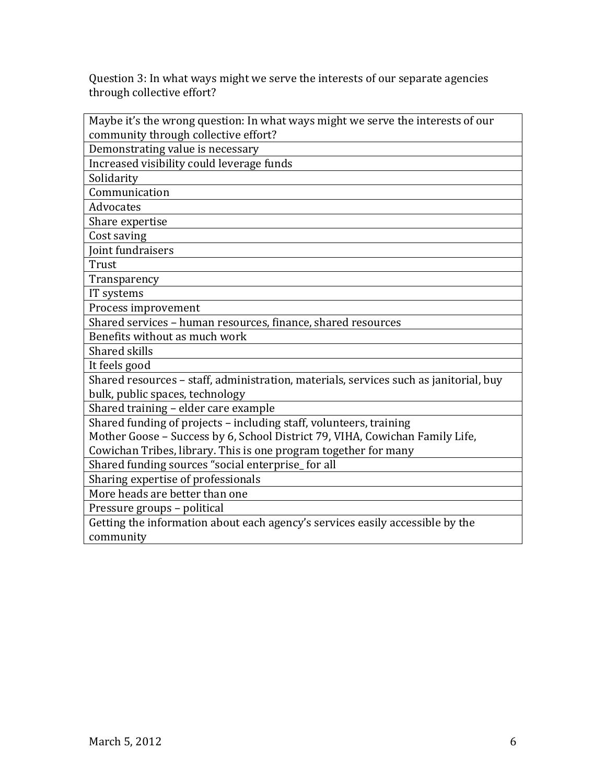Question 3: In what ways might we serve the interests of our separate agencies through collective effort?

| Maybe it's the wrong question: In what ways might we serve the interests of our       |
|---------------------------------------------------------------------------------------|
| community through collective effort?                                                  |
| Demonstrating value is necessary                                                      |
| Increased visibility could leverage funds                                             |
| Solidarity                                                                            |
| Communication                                                                         |
| Advocates                                                                             |
| Share expertise                                                                       |
| Cost saving                                                                           |
| Joint fundraisers                                                                     |
| Trust                                                                                 |
| Transparency                                                                          |
| IT systems                                                                            |
| Process improvement                                                                   |
| Shared services - human resources, finance, shared resources                          |
| Benefits without as much work                                                         |
| Shared skills                                                                         |
| It feels good                                                                         |
| Shared resources - staff, administration, materials, services such as janitorial, buy |
| bulk, public spaces, technology                                                       |
| Shared training - elder care example                                                  |
| Shared funding of projects - including staff, volunteers, training                    |
| Mother Goose - Success by 6, School District 79, VIHA, Cowichan Family Life,          |
| Cowichan Tribes, library. This is one program together for many                       |
| Shared funding sources "social enterprise_for all                                     |
| Sharing expertise of professionals                                                    |
| More heads are better than one                                                        |
| Pressure groups - political                                                           |
| Getting the information about each agency's services easily accessible by the         |
| community                                                                             |